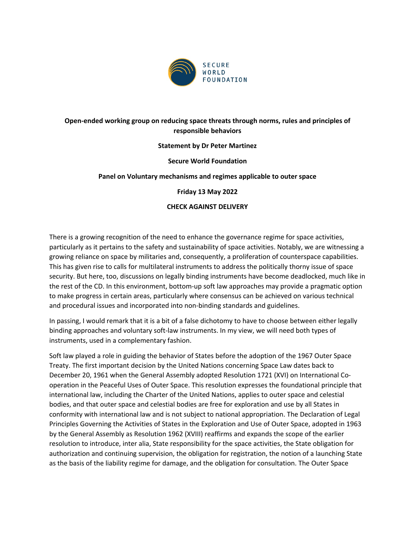

# **Open-ended working group on reducing space threats through norms, rules and principles of responsible behaviors**

### **Statement by Dr Peter Martinez**

### **Secure World Foundation**

### **Panel on Voluntary mechanisms and regimes applicable to outer space**

### **Friday 13 May 2022**

### **CHECK AGAINST DELIVERY**

There is a growing recognition of the need to enhance the governance regime for space activities, particularly as it pertains to the safety and sustainability of space activities. Notably, we are witnessing a growing reliance on space by militaries and, consequently, a proliferation of counterspace capabilities. This has given rise to calls for multilateral instruments to address the politically thorny issue of space security. But here, too, discussions on legally binding instruments have become deadlocked, much like in the rest of the CD. In this environment, bottom-up soft law approaches may provide a pragmatic option to make progress in certain areas, particularly where consensus can be achieved on various technical and procedural issues and incorporated into non-binding standards and guidelines.

In passing, I would remark that it is a bit of a false dichotomy to have to choose between either legally binding approaches and voluntary soft-law instruments. In my view, we will need both types of instruments, used in a complementary fashion.

Soft law played a role in guiding the behavior of States before the adoption of the 1967 Outer Space Treaty. The first important decision by the United Nations concerning Space Law dates back to December 20, 1961 when the General Assembly adopted Resolution 1721 (XVI) on International Cooperation in the Peaceful Uses of Outer Space. This resolution expresses the foundational principle that international law, including the Charter of the United Nations, applies to outer space and celestial bodies, and that outer space and celestial bodies are free for exploration and use by all States in conformity with international law and is not subject to national appropriation. The Declaration of Legal Principles Governing the Activities of States in the Exploration and Use of Outer Space, adopted in 1963 by the General Assembly as Resolution 1962 (XVIII) reaffirms and expands the scope of the earlier resolution to introduce, inter alia, State responsibility for the space activities, the State obligation for authorization and continuing supervision, the obligation for registration, the notion of a launching State as the basis of the liability regime for damage, and the obligation for consultation. The Outer Space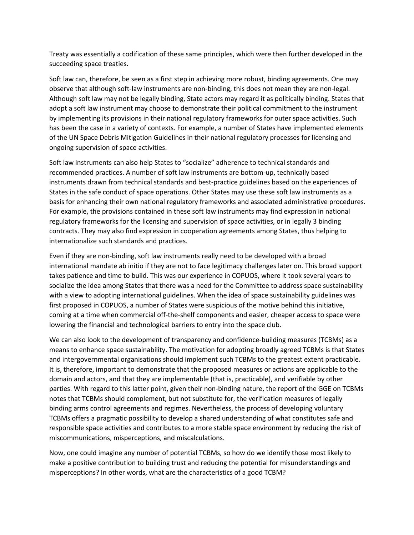Treaty was essentially a codification of these same principles, which were then further developed in the succeeding space treaties.

Soft law can, therefore, be seen as a first step in achieving more robust, binding agreements. One may observe that although soft-law instruments are non-binding, this does not mean they are non-legal. Although soft law may not be legally binding, State actors may regard it as politically binding. States that adopt a soft law instrument may choose to demonstrate their political commitment to the instrument by implementing its provisions in their national regulatory frameworks for outer space activities. Such has been the case in a variety of contexts. For example, a number of States have implemented elements of the UN Space Debris Mitigation Guidelines in their national regulatory processes for licensing and ongoing supervision of space activities.

Soft law instruments can also help States to "socialize" adherence to technical standards and recommended practices. A number of soft law instruments are bottom-up, technically based instruments drawn from technical standards and best-practice guidelines based on the experiences of States in the safe conduct of space operations. Other States may use these soft law instruments as a basis for enhancing their own national regulatory frameworks and associated administrative procedures. For example, the provisions contained in these soft law instruments may find expression in national regulatory frameworks for the licensing and supervision of space activities, or in legally 3 binding contracts. They may also find expression in cooperation agreements among States, thus helping to internationalize such standards and practices.

Even if they are non-binding, soft law instruments really need to be developed with a broad international mandate ab initio if they are not to face legitimacy challenges later on. This broad support takes patience and time to build. This was our experience in COPUOS, where it took several years to socialize the idea among States that there was a need for the Committee to address space sustainability with a view to adopting international guidelines. When the idea of space sustainability guidelines was first proposed in COPUOS, a number of States were suspicious of the motive behind this initiative, coming at a time when commercial off-the-shelf components and easier, cheaper access to space were lowering the financial and technological barriers to entry into the space club.

We can also look to the development of transparency and confidence-building measures (TCBMs) as a means to enhance space sustainability. The motivation for adopting broadly agreed TCBMs is that States and intergovernmental organisations should implement such TCBMs to the greatest extent practicable. It is, therefore, important to demonstrate that the proposed measures or actions are applicable to the domain and actors, and that they are implementable (that is, practicable), and verifiable by other parties. With regard to this latter point, given their non-binding nature, the report of the GGE on TCBMs notes that TCBMs should complement, but not substitute for, the verification measures of legally binding arms control agreements and regimes. Nevertheless, the process of developing voluntary TCBMs offers a pragmatic possibility to develop a shared understanding of what constitutes safe and responsible space activities and contributes to a more stable space environment by reducing the risk of miscommunications, misperceptions, and miscalculations.

Now, one could imagine any number of potential TCBMs, so how do we identify those most likely to make a positive contribution to building trust and reducing the potential for misunderstandings and misperceptions? In other words, what are the characteristics of a good TCBM?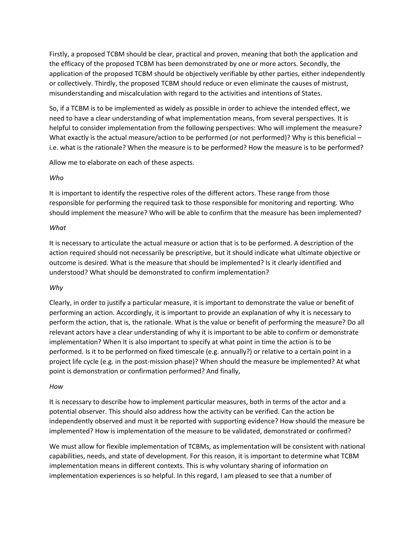Firstly, a proposed TCBM should be clear, practical and proven, meaning that both the application and the efficacy of the proposed TCBM has been demonstrated by one or more actors. Secondly, the application of the proposed TCBM should be objectively verifiable by other parties, either independently or collectively. Thirdly, the proposed TCBM should reduce or even eliminate the causes of mistrust, misunderstanding and miscalculation with regard to the activities and intentions of States.

So, if a TCBM is to be implemented as widely as possible in order to achieve the intended effect, we need to have a clear understanding of what implementation means, from several perspectives. It is helpful to consider implementation from the following perspectives: Who will implement the measure? What exactly is the actual measure/action to be performed (or not performed)? Why is this beneficial – i.e. what is the rationale? When the measure is to be performed? How the measure is to be performed?

Allow me to elaborate on each of these aspects.

### *Who*

It is important to identify the respective roles of the different actors. These range from those responsible for performing the required task to those responsible for monitoring and reporting. Who should implement the measure? Who will be able to confirm that the measure has been implemented?

### *What*

It is necessary to articulate the actual measure or action that is to be performed. A description of the action required should not necessarily be prescriptive, but it should indicate what ultimate objective or outcome is desired. What is the measure that should be implemented? Is it clearly identified and understood? What should be demonstrated to confirm implementation?

## *Why*

Clearly, in order to justify a particular measure, it is important to demonstrate the value or benefit of performing an action. Accordingly, it is important to provide an explanation of why it is necessary to perform the action, that is, the rationale. What is the value or benefit of performing the measure? Do all relevant actors have a clear understanding of why it is important to be able to confirm or demonstrate implementation? When It is also important to specify at what point in time the action is to be performed. Is it to be performed on fixed timescale (e.g. annually?) or relative to a certain point in a project life cycle (e.g. in the post-mission phase)? When should the measure be implemented? At what point is demonstration or confirmation performed? And finally,

#### *How*

It is necessary to describe how to implement particular measures, both in terms of the actor and a potential observer. This should also address how the activity can be verified. Can the action be independently observed and must it be reported with supporting evidence? How should the measure be implemented? How is implementation of the measure to be validated, demonstrated or confirmed?

We must allow for flexible implementation of TCBMs, as implementation will be consistent with national capabilities, needs, and state of development. For this reason, it is important to determine what TCBM implementation means in different contexts. This is why voluntary sharing of information on implementation experiences is so helpful. In this regard, I am pleased to see that a number of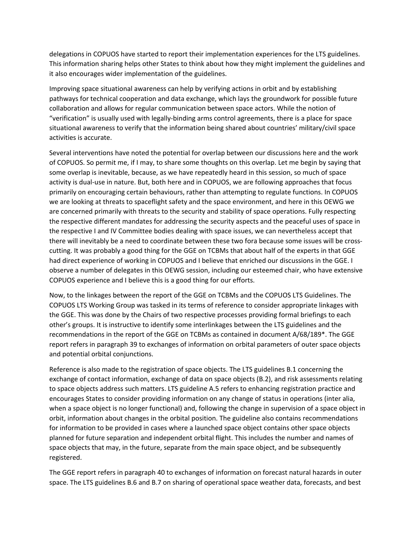delegations in COPUOS have started to report their implementation experiences for the LTS guidelines. This information sharing helps other States to think about how they might implement the guidelines and it also encourages wider implementation of the guidelines.

Improving space situational awareness can help by verifying actions in orbit and by establishing pathways for technical cooperation and data exchange, which lays the groundwork for possible future collaboration and allows for regular communication between space actors. While the notion of "verification" is usually used with legally-binding arms control agreements, there is a place for space situational awareness to verify that the information being shared about countries' military/civil space activities is accurate.

Several interventions have noted the potential for overlap between our discussions here and the work of COPUOS. So permit me, if I may, to share some thoughts on this overlap. Let me begin by saying that some overlap is inevitable, because, as we have repeatedly heard in this session, so much of space activity is dual-use in nature. But, both here and in COPUOS, we are following approaches that focus primarily on encouraging certain behaviours, rather than attempting to regulate functions. In COPUOS we are looking at threats to spaceflight safety and the space environment, and here in this OEWG we are concerned primarily with threats to the security and stability of space operations. Fully respecting the respective different mandates for addressing the security aspects and the peaceful uses of space in the respective I and IV Committee bodies dealing with space issues, we can nevertheless accept that there will inevitably be a need to coordinate between these two fora because some issues will be crosscutting. It was probably a good thing for the GGE on TCBMs that about half of the experts in that GGE had direct experience of working in COPUOS and I believe that enriched our discussions in the GGE. I observe a number of delegates in this OEWG session, including our esteemed chair, who have extensive COPUOS experience and I believe this is a good thing for our efforts.

Now, to the linkages between the report of the GGE on TCBMs and the COPUOS LTS Guidelines. The COPUOS LTS Working Group was tasked in its terms of reference to consider appropriate linkages with the GGE. This was done by the Chairs of two respective processes providing formal briefings to each other's groups. It is instructive to identify some interlinkages between the LTS guidelines and the recommendations in the report of the GGE on TCBMs as contained in document A/68/189\*. The GGE report refers in paragraph 39 to exchanges of information on orbital parameters of outer space objects and potential orbital conjunctions.

Reference is also made to the registration of space objects. The LTS guidelines B.1 concerning the exchange of contact information, exchange of data on space objects (B.2), and risk assessments relating to space objects address such matters. LTS guideline A.5 refers to enhancing registration practice and encourages States to consider providing information on any change of status in operations (inter alia, when a space object is no longer functional) and, following the change in supervision of a space object in orbit, information about changes in the orbital position. The guideline also contains recommendations for information to be provided in cases where a launched space object contains other space objects planned for future separation and independent orbital flight. This includes the number and names of space objects that may, in the future, separate from the main space object, and be subsequently registered.

The GGE report refers in paragraph 40 to exchanges of information on forecast natural hazards in outer space. The LTS guidelines B.6 and B.7 on sharing of operational space weather data, forecasts, and best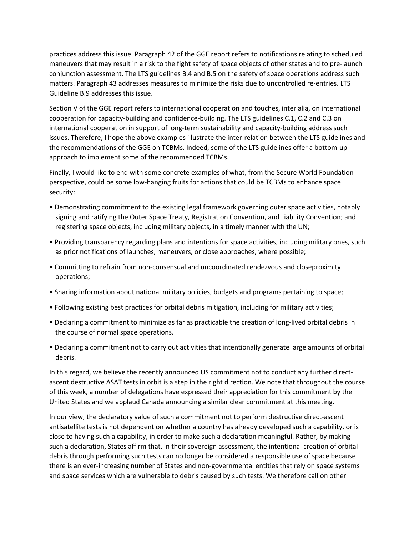practices address this issue. Paragraph 42 of the GGE report refers to notifications relating to scheduled maneuvers that may result in a risk to the fight safety of space objects of other states and to pre-launch conjunction assessment. The LTS guidelines B.4 and B.5 on the safety of space operations address such matters. Paragraph 43 addresses measures to minimize the risks due to uncontrolled re-entries. LTS Guideline B.9 addresses this issue.

Section V of the GGE report refers to international cooperation and touches, inter alia, on international cooperation for capacity-building and confidence-building. The LTS guidelines C.1, C.2 and C.3 on international cooperation in support of long-term sustainability and capacity-building address such issues. Therefore, I hope the above examples illustrate the inter-relation between the LTS guidelines and the recommendations of the GGE on TCBMs. Indeed, some of the LTS guidelines offer a bottom-up approach to implement some of the recommended TCBMs.

Finally, I would like to end with some concrete examples of what, from the Secure World Foundation perspective, could be some low-hanging fruits for actions that could be TCBMs to enhance space security:

- Demonstrating commitment to the existing legal framework governing outer space activities, notably signing and ratifying the Outer Space Treaty, Registration Convention, and Liability Convention; and registering space objects, including military objects, in a timely manner with the UN;
- Providing transparency regarding plans and intentions for space activities, including military ones, such as prior notifications of launches, maneuvers, or close approaches, where possible;
- Committing to refrain from non-consensual and uncoordinated rendezvous and closeproximity operations;
- Sharing information about national military policies, budgets and programs pertaining to space;
- Following existing best practices for orbital debris mitigation, including for military activities;
- Declaring a commitment to minimize as far as practicable the creation of long-lived orbital debris in the course of normal space operations.
- Declaring a commitment not to carry out activities that intentionally generate large amounts of orbital debris.

In this regard, we believe the recently announced US commitment not to conduct any further directascent destructive ASAT tests in orbit is a step in the right direction. We note that throughout the course of this week, a number of delegations have expressed their appreciation for this commitment by the United States and we applaud Canada announcing a similar clear commitment at this meeting.

In our view, the declaratory value of such a commitment not to perform destructive direct-ascent antisatellite tests is not dependent on whether a country has already developed such a capability, or is close to having such a capability, in order to make such a declaration meaningful. Rather, by making such a declaration, States affirm that, in their sovereign assessment, the intentional creation of orbital debris through performing such tests can no longer be considered a responsible use of space because there is an ever-increasing number of States and non-governmental entities that rely on space systems and space services which are vulnerable to debris caused by such tests. We therefore call on other